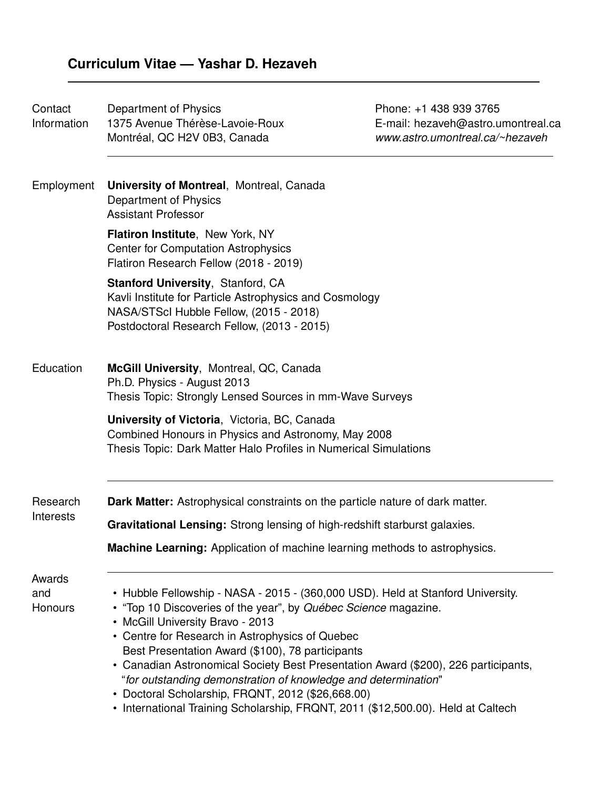| Contact<br>Information   | Department of Physics<br>1375 Avenue Thérèse-Lavoie-Roux<br>Montréal, QC H2V 0B3, Canada                                                                                                                                                                                                                                                                                                                                                                                                                                                                                                       | Phone: +1 438 939 3765<br>E-mail: hezaveh@astro.umontreal.ca<br>www.astro.umontreal.ca/~hezaveh |  |
|--------------------------|------------------------------------------------------------------------------------------------------------------------------------------------------------------------------------------------------------------------------------------------------------------------------------------------------------------------------------------------------------------------------------------------------------------------------------------------------------------------------------------------------------------------------------------------------------------------------------------------|-------------------------------------------------------------------------------------------------|--|
| Employment               | <b>University of Montreal, Montreal, Canada</b><br>Department of Physics<br><b>Assistant Professor</b>                                                                                                                                                                                                                                                                                                                                                                                                                                                                                         |                                                                                                 |  |
|                          | Flatiron Institute, New York, NY<br><b>Center for Computation Astrophysics</b><br>Flatiron Research Fellow (2018 - 2019)                                                                                                                                                                                                                                                                                                                                                                                                                                                                       |                                                                                                 |  |
|                          | <b>Stanford University, Stanford, CA</b><br>Kavli Institute for Particle Astrophysics and Cosmology<br>NASA/STScI Hubble Fellow, (2015 - 2018)<br>Postdoctoral Research Fellow, (2013 - 2015)                                                                                                                                                                                                                                                                                                                                                                                                  |                                                                                                 |  |
| Education                | McGill University, Montreal, QC, Canada<br>Ph.D. Physics - August 2013<br>Thesis Topic: Strongly Lensed Sources in mm-Wave Surveys                                                                                                                                                                                                                                                                                                                                                                                                                                                             |                                                                                                 |  |
|                          | University of Victoria, Victoria, BC, Canada<br>Combined Honours in Physics and Astronomy, May 2008<br>Thesis Topic: Dark Matter Halo Profiles in Numerical Simulations                                                                                                                                                                                                                                                                                                                                                                                                                        |                                                                                                 |  |
| Research<br>Interests    | <b>Dark Matter:</b> Astrophysical constraints on the particle nature of dark matter.                                                                                                                                                                                                                                                                                                                                                                                                                                                                                                           |                                                                                                 |  |
|                          | Gravitational Lensing: Strong lensing of high-redshift starburst galaxies.                                                                                                                                                                                                                                                                                                                                                                                                                                                                                                                     |                                                                                                 |  |
|                          | <b>Machine Learning:</b> Application of machine learning methods to astrophysics.                                                                                                                                                                                                                                                                                                                                                                                                                                                                                                              |                                                                                                 |  |
| Awards<br>and<br>Honours | • Hubble Fellowship - NASA - 2015 - (360,000 USD). Held at Stanford University.<br>• "Top 10 Discoveries of the year", by Québec Science magazine.<br>• McGill University Bravo - 2013<br>• Centre for Research in Astrophysics of Quebec<br>Best Presentation Award (\$100), 78 participants<br>• Canadian Astronomical Society Best Presentation Award (\$200), 226 participants,<br>"for outstanding demonstration of knowledge and determination"<br>• Doctoral Scholarship, FRQNT, 2012 (\$26,668.00)<br>• International Training Scholarship, FRQNT, 2011 (\$12,500.00). Held at Caltech |                                                                                                 |  |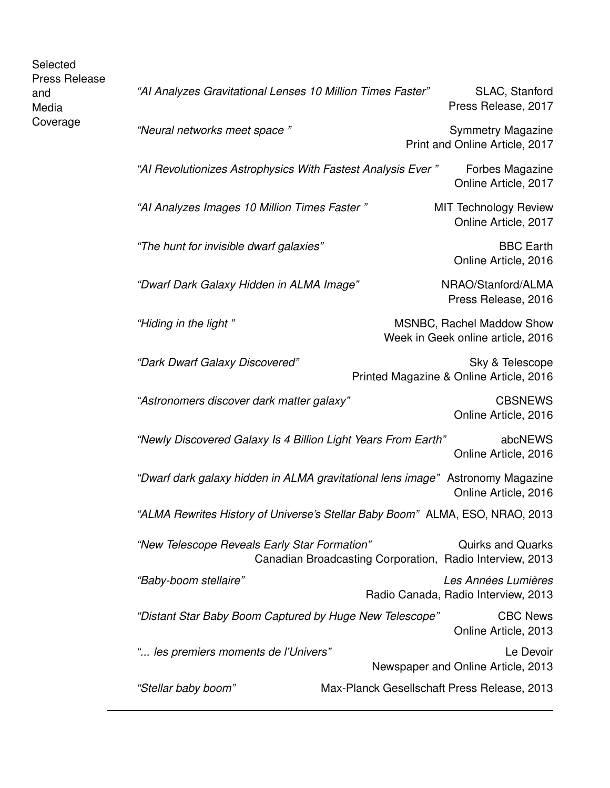| Selected<br><b>Press Release</b> |                                                                                |                                                          |                                                                |
|----------------------------------|--------------------------------------------------------------------------------|----------------------------------------------------------|----------------------------------------------------------------|
| and<br>Media                     | "AI Analyzes Gravitational Lenses 10 Million Times Faster"                     |                                                          | SLAC, Stanford<br>Press Release, 2017                          |
| Coverage                         | "Neural networks meet space"                                                   |                                                          | <b>Symmetry Magazine</b><br>Print and Online Article, 2017     |
|                                  | "AI Revolutionizes Astrophysics With Fastest Analysis Ever"                    |                                                          | Forbes Magazine<br>Online Article, 2017                        |
|                                  | "Al Analyzes Images 10 Million Times Faster"                                   |                                                          | <b>MIT Technology Review</b><br>Online Article, 2017           |
|                                  | "The hunt for invisible dwarf galaxies"                                        |                                                          | <b>BBC</b> Earth<br>Online Article, 2016                       |
|                                  | "Dwarf Dark Galaxy Hidden in ALMA Image"                                       |                                                          | NRAO/Stanford/ALMA<br>Press Release, 2016                      |
|                                  | "Hiding in the light"                                                          |                                                          | MSNBC, Rachel Maddow Show<br>Week in Geek online article, 2016 |
|                                  | "Dark Dwarf Galaxy Discovered"                                                 |                                                          | Sky & Telescope<br>Printed Magazine & Online Article, 2016     |
|                                  | "Astronomers discover dark matter galaxy"                                      |                                                          | <b>CBSNEWS</b><br>Online Article, 2016                         |
|                                  | "Newly Discovered Galaxy Is 4 Billion Light Years From Earth"                  |                                                          | abcNEWS<br>Online Article, 2016                                |
|                                  | "Dwarf dark galaxy hidden in ALMA gravitational lens image" Astronomy Magazine |                                                          | Online Article, 2016                                           |
|                                  | "ALMA Rewrites History of Universe's Stellar Baby Boom" ALMA, ESO, NRAO, 2013  |                                                          |                                                                |
|                                  | "New Telescope Reveals Early Star Formation"                                   | Canadian Broadcasting Corporation, Radio Interview, 2013 | <b>Quirks and Quarks</b>                                       |
|                                  | "Baby-boom stellaire"                                                          |                                                          | Les Années Lumières<br>Radio Canada, Radio Interview, 2013     |
|                                  | "Distant Star Baby Boom Captured by Huge New Telescope"                        |                                                          | <b>CBC News</b><br>Online Article, 2013                        |
|                                  | " les premiers moments de l'Univers"                                           |                                                          | Le Devoir<br>Newspaper and Online Article, 2013                |
|                                  | "Stellar baby boom"                                                            |                                                          | Max-Planck Gesellschaft Press Release, 2013                    |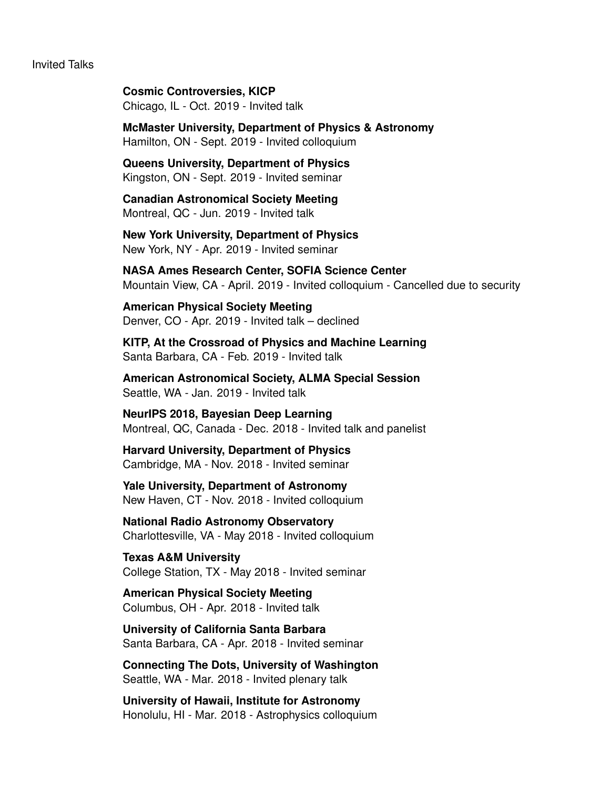#### Invited Talks

**Cosmic Controversies, KICP** Chicago, IL - Oct. 2019 - Invited talk

**McMaster University, Department of Physics & Astronomy** Hamilton, ON - Sept. 2019 - Invited colloquium

**Queens University, Department of Physics** Kingston, ON - Sept. 2019 - Invited seminar

**Canadian Astronomical Society Meeting** Montreal, QC - Jun. 2019 - Invited talk

**New York University, Department of Physics** New York, NY - Apr. 2019 - Invited seminar

**NASA Ames Research Center, SOFIA Science Center** Mountain View, CA - April. 2019 - Invited colloquium - Cancelled due to security

**American Physical Society Meeting** Denver, CO - Apr. 2019 - Invited talk – declined

**KITP, At the Crossroad of Physics and Machine Learning** Santa Barbara, CA - Feb. 2019 - Invited talk

**American Astronomical Society, ALMA Special Session** Seattle, WA - Jan. 2019 - Invited talk

**NeurIPS 2018, Bayesian Deep Learning** Montreal, QC, Canada - Dec. 2018 - Invited talk and panelist

**Harvard University, Department of Physics** Cambridge, MA - Nov. 2018 - Invited seminar

**Yale University, Department of Astronomy** New Haven, CT - Nov. 2018 - Invited colloquium

**National Radio Astronomy Observatory** Charlottesville, VA - May 2018 - Invited colloquium

**Texas A&M University** College Station, TX - May 2018 - Invited seminar

**American Physical Society Meeting** Columbus, OH - Apr. 2018 - Invited talk

**University of California Santa Barbara** Santa Barbara, CA - Apr. 2018 - Invited seminar

**Connecting The Dots, University of Washington** Seattle, WA - Mar. 2018 - Invited plenary talk

**University of Hawaii, Institute for Astronomy** Honolulu, HI - Mar. 2018 - Astrophysics colloquium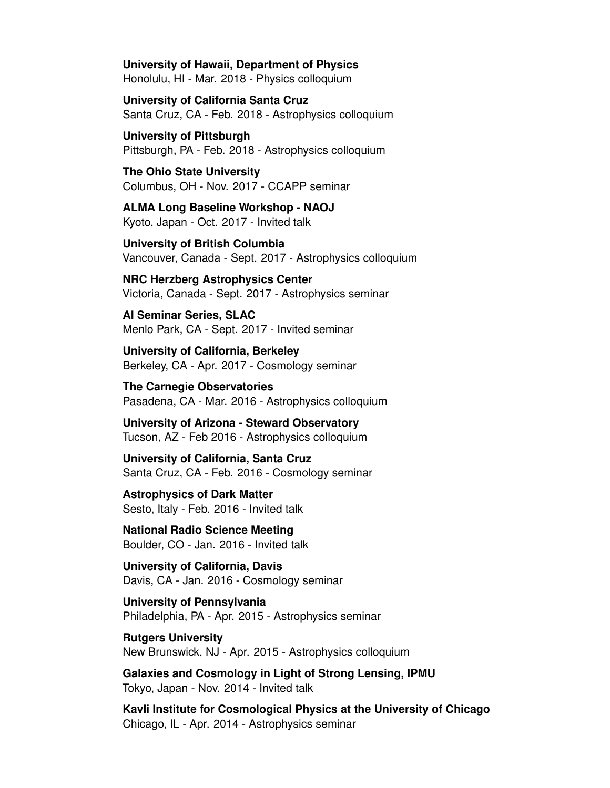**University of Hawaii, Department of Physics** Honolulu, HI - Mar. 2018 - Physics colloquium

**University of California Santa Cruz** Santa Cruz, CA - Feb. 2018 - Astrophysics colloquium

**University of Pittsburgh** Pittsburgh, PA - Feb. 2018 - Astrophysics colloquium

**The Ohio State University** Columbus, OH - Nov. 2017 - CCAPP seminar

**ALMA Long Baseline Workshop - NAOJ** Kyoto, Japan - Oct. 2017 - Invited talk

**University of British Columbia** Vancouver, Canada - Sept. 2017 - Astrophysics colloquium

**NRC Herzberg Astrophysics Center** Victoria, Canada - Sept. 2017 - Astrophysics seminar

**AI Seminar Series, SLAC** Menlo Park, CA - Sept. 2017 - Invited seminar

**University of California, Berkeley** Berkeley, CA - Apr. 2017 - Cosmology seminar

**The Carnegie Observatories** Pasadena, CA - Mar. 2016 - Astrophysics colloquium

**University of Arizona - Steward Observatory** Tucson, AZ - Feb 2016 - Astrophysics colloquium

**University of California, Santa Cruz** Santa Cruz, CA - Feb. 2016 - Cosmology seminar

**Astrophysics of Dark Matter** Sesto, Italy - Feb. 2016 - Invited talk

**National Radio Science Meeting** Boulder, CO - Jan. 2016 - Invited talk

**University of California, Davis** Davis, CA - Jan. 2016 - Cosmology seminar

**University of Pennsylvania** Philadelphia, PA - Apr. 2015 - Astrophysics seminar

**Rutgers University** New Brunswick, NJ - Apr. 2015 - Astrophysics colloquium

**Galaxies and Cosmology in Light of Strong Lensing, IPMU** Tokyo, Japan - Nov. 2014 - Invited talk

**Kavli Institute for Cosmological Physics at the University of Chicago** Chicago, IL - Apr. 2014 - Astrophysics seminar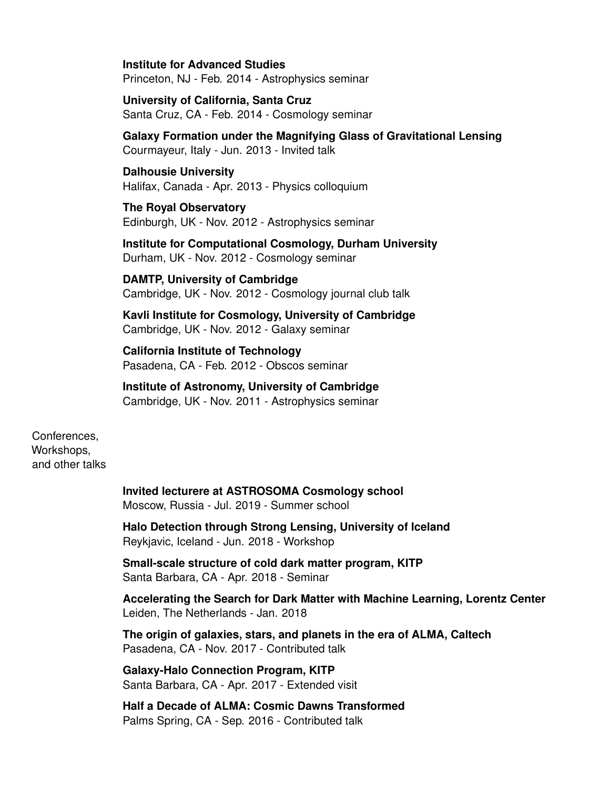**Institute for Advanced Studies** Princeton, NJ - Feb. 2014 - Astrophysics seminar

**University of California, Santa Cruz** Santa Cruz, CA - Feb. 2014 - Cosmology seminar

**Galaxy Formation under the Magnifying Glass of Gravitational Lensing** Courmayeur, Italy - Jun. 2013 - Invited talk

**Dalhousie University** Halifax, Canada - Apr. 2013 - Physics colloquium

**The Royal Observatory** Edinburgh, UK - Nov. 2012 - Astrophysics seminar

**Institute for Computational Cosmology, Durham University** Durham, UK - Nov. 2012 - Cosmology seminar

**DAMTP, University of Cambridge** Cambridge, UK - Nov. 2012 - Cosmology journal club talk

**Kavli Institute for Cosmology, University of Cambridge** Cambridge, UK - Nov. 2012 - Galaxy seminar

**California Institute of Technology** Pasadena, CA - Feb. 2012 - Obscos seminar

**Institute of Astronomy, University of Cambridge** Cambridge, UK - Nov. 2011 - Astrophysics seminar

Conferences, Workshops, and other talks

> **Invited lecturere at ASTROSOMA Cosmology school** Moscow, Russia - Jul. 2019 - Summer school

**Halo Detection through Strong Lensing, University of Iceland** Reykjavic, Iceland - Jun. 2018 - Workshop

**Small-scale structure of cold dark matter program, KITP** Santa Barbara, CA - Apr. 2018 - Seminar

**Accelerating the Search for Dark Matter with Machine Learning, Lorentz Center** Leiden, The Netherlands - Jan. 2018

**The origin of galaxies, stars, and planets in the era of ALMA, Caltech** Pasadena, CA - Nov. 2017 - Contributed talk

**Galaxy-Halo Connection Program, KITP** Santa Barbara, CA - Apr. 2017 - Extended visit

**Half a Decade of ALMA: Cosmic Dawns Transformed** Palms Spring, CA - Sep. 2016 - Contributed talk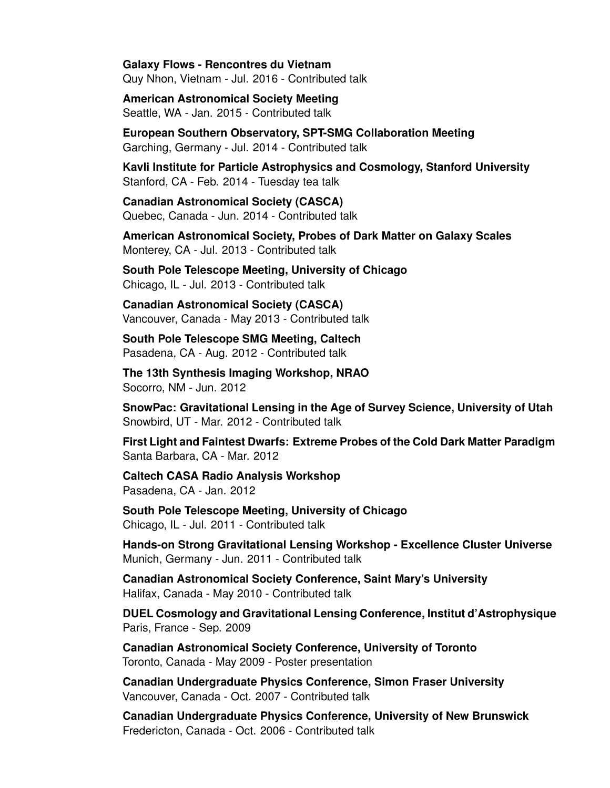**Galaxy Flows - Rencontres du Vietnam** Quy Nhon, Vietnam - Jul. 2016 - Contributed talk

**American Astronomical Society Meeting** Seattle, WA - Jan. 2015 - Contributed talk

**European Southern Observatory, SPT-SMG Collaboration Meeting** Garching, Germany - Jul. 2014 - Contributed talk

**Kavli Institute for Particle Astrophysics and Cosmology, Stanford University** Stanford, CA - Feb. 2014 - Tuesday tea talk

**Canadian Astronomical Society (CASCA)** Quebec, Canada - Jun. 2014 - Contributed talk

**American Astronomical Society, Probes of Dark Matter on Galaxy Scales** Monterey, CA - Jul. 2013 - Contributed talk

**South Pole Telescope Meeting, University of Chicago** Chicago, IL - Jul. 2013 - Contributed talk

**Canadian Astronomical Society (CASCA)** Vancouver, Canada - May 2013 - Contributed talk

**South Pole Telescope SMG Meeting, Caltech** Pasadena, CA - Aug. 2012 - Contributed talk

**The 13th Synthesis Imaging Workshop, NRAO** Socorro, NM - Jun. 2012

**SnowPac: Gravitational Lensing in the Age of Survey Science, University of Utah** Snowbird, UT - Mar. 2012 - Contributed talk

**First Light and Faintest Dwarfs: Extreme Probes of the Cold Dark Matter Paradigm** Santa Barbara, CA - Mar. 2012

**Caltech CASA Radio Analysis Workshop** Pasadena, CA - Jan. 2012

**South Pole Telescope Meeting, University of Chicago** Chicago, IL - Jul. 2011 - Contributed talk

**Hands-on Strong Gravitational Lensing Workshop - Excellence Cluster Universe** Munich, Germany - Jun. 2011 - Contributed talk

**Canadian Astronomical Society Conference, Saint Mary's University** Halifax, Canada - May 2010 - Contributed talk

**DUEL Cosmology and Gravitational Lensing Conference, Institut d'Astrophysique** Paris, France - Sep. 2009

**Canadian Astronomical Society Conference, University of Toronto** Toronto, Canada - May 2009 - Poster presentation

**Canadian Undergraduate Physics Conference, Simon Fraser University** Vancouver, Canada - Oct. 2007 - Contributed talk

**Canadian Undergraduate Physics Conference, University of New Brunswick** Fredericton, Canada - Oct. 2006 - Contributed talk